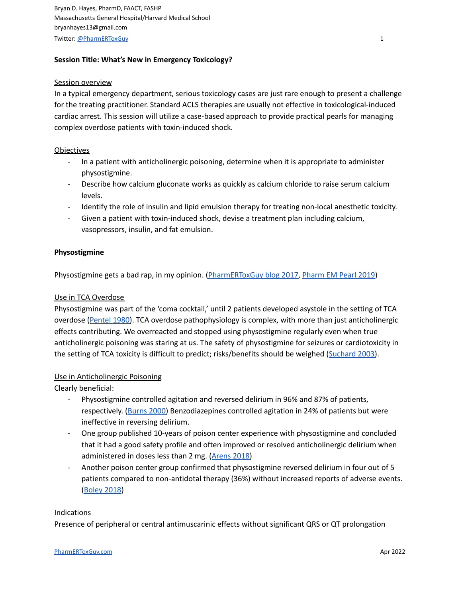# **Session Title: What's New in Emergency Toxicology?**

#### **Session overview**

In a typical emergency department, serious toxicology cases are just rare enough to present a challenge for the treating practitioner. Standard ACLS therapies are usually not effective in toxicological-induced cardiac arrest. This session will utilize a case-based approach to provide practical pearls for managing complex overdose patients with toxin-induced shock.

## **Objectives**

- In a patient with anticholinergic poisoning, determine when it is appropriate to administer physostigmine.
- Describe how calcium gluconate works as quickly as calcium chloride to raise serum calcium levels.
- Identify the role of insulin and lipid emulsion therapy for treating non-local anesthetic toxicity.
- Given a patient with toxin-induced shock, devise a treatment plan including calcium, vasopressors, insulin, and fat emulsion.

## **Physostigmine**

Physostigmine gets a bad rap, in my opinion. [\(PharmERToxGuy](https://pharmertoxguy.com/2017/07/21/dont-be-afraid-of-physostigmine/) blog 2017, [Pharm](https://pharmertoxguy.com/2019/07/26/dont-fear-physostigmine/) EM Pearl 2019)

## Use in TCA Overdose

Physostigmine was part of the 'coma cocktail,' until 2 patients developed asystole in the setting of TCA overdose ([Pentel](https://www.ncbi.nlm.nih.gov/pubmed/7001962) 1980). TCA overdose pathophysiology is complex, with more than just anticholinergic effects contributing. We overreacted and stopped using physostigmine regularly even when true anticholinergic poisoning was staring at us. The safety of physostigmine for seizures or cardiotoxicity in the setting of TCA toxicity is difficult to predict; risks/benefits should be weighed ([Suchard](https://www.ncbi.nlm.nih.gov/pubmed/12902007) 2003).

# Use in Anticholinergic Poisoning

Clearly beneficial:

- Physostigmine controlled agitation and reversed delirium in 96% and 87% of patients, respectively. [\(Burns](https://www.ncbi.nlm.nih.gov/pubmed/10736125) 2000) Benzodiazepines controlled agitation in 24% of patients but were ineffective in reversing delirium.
- One group published 10-years of poison center experience with physostigmine and concluded that it had a good safety profile and often improved or resolved anticholinergic delirium when administered in doses less than 2 mg. ([Arens](https://www.ncbi.nlm.nih.gov/pubmed/28703024) 2018)
- Another poison center group confirmed that physostigmine reversed delirium in four out of 5 patients compared to non-antidotal therapy (36%) without increased reports of adverse events. [\(Boley](https://www.ncbi.nlm.nih.gov/pubmed/29956570) 2018)

#### **Indications**

Presence of peripheral or central antimuscarinic effects without significant QRS or QT prolongation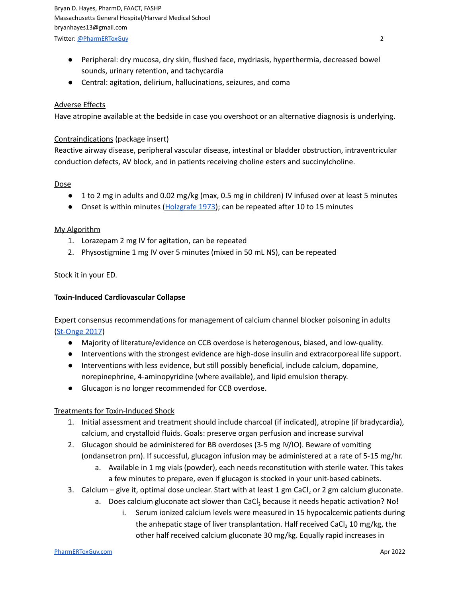Bryan D. Hayes, PharmD, FAACT, FASHP Massachusetts General Hospital/Harvard Medical School bryanhayes13@gmail.com Twitter: [@PharmERToxGuy](https://twitter.com/pharmertoxguy) 2

- Peripheral: dry mucosa, dry skin, flushed face, mydriasis, hyperthermia, decreased bowel sounds, urinary retention, and tachycardia
- Central: agitation, delirium, hallucinations, seizures, and coma

## Adverse Effects

Have atropine available at the bedside in case you overshoot or an alternative diagnosis is underlying.

#### Contraindications (package insert)

Reactive airway disease, peripheral vascular disease, intestinal or bladder obstruction, intraventricular conduction defects, AV block, and in patients receiving choline esters and succinylcholine.

## Dose

- 1 to 2 mg in adults and 0.02 mg/kg (max, 0.5 mg in children) IV infused over at least 5 minutes
- Onset is within minutes ([Holzgrafe](https://www.ncbi.nlm.nih.gov/pubmed/4796567) 1973); can be repeated after 10 to 15 minutes

## My Algorithm

- 1. Lorazepam 2 mg IV for agitation, can be repeated
- 2. Physostigmine 1 mg IV over 5 minutes (mixed in 50 mL NS), can be repeated

## Stock it in your ED.

#### **Toxin-Induced Cardiovascular Collapse**

Expert consensus recommendations for management of calcium channel blocker poisoning in adults [\(St-Onge](https://www.ncbi.nlm.nih.gov/pubmed/27749343) 2017)

- Majority of literature/evidence on CCB overdose is heterogenous, biased, and low-quality.
- Interventions with the strongest evidence are high-dose insulin and extracorporeal life support.
- Interventions with less evidence, but still possibly beneficial, include calcium, dopamine, norepinephrine, 4-aminopyridine (where available), and lipid emulsion therapy.
- Glucagon is no longer recommended for CCB overdose.

#### Treatments for Toxin-Induced Shock

- 1. Initial assessment and treatment should include charcoal (if indicated), atropine (if bradycardia), calcium, and crystalloid fluids. Goals: preserve organ perfusion and increase survival
- 2. Glucagon should be administered for BB overdoses (3-5 mg IV/IO). Beware of vomiting (ondansetron prn). If successful, glucagon infusion may be administered at a rate of 5-15 mg/hr.
	- a. Available in 1 mg vials (powder), each needs reconstitution with sterile water. This takes a few minutes to prepare, even if glucagon is stocked in your unit-based cabinets.
- 3. Calcium give it, optimal dose unclear. Start with at least  $1 \text{ gm}$  CaCl<sub>2</sub> or  $2 \text{ gm}$  calcium gluconate.
	- a. Does calcium gluconate act slower than CaCl<sub>2</sub> because it needs hepatic activation? No!
		- i. Serum ionized calcium levels were measured in 15 hypocalcemic patients during the anhepatic stage of liver transplantation. Half received CaCl<sub>2</sub> 10 mg/kg, the other half received calcium gluconate 30 mg/kg. Equally rapid increases in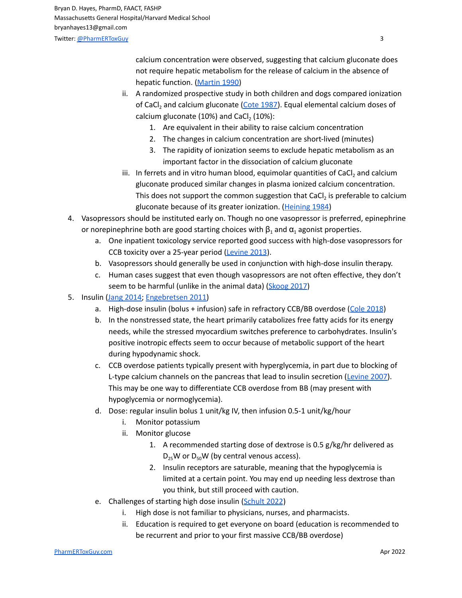calcium concentration were observed, suggesting that calcium gluconate does not require hepatic metabolism for the release of calcium in the absence of hepatic function. [\(Martin](https://www.ncbi.nlm.nih.gov/pubmed/2360741) 1990)

- ii. A randomized prospective study in both children and dogs compared ionization of CaCl<sub>2</sub> and calcium gluconate (Cote [1987\)](https://www.ncbi.nlm.nih.gov/pubmed/3565811). Equal elemental calcium doses of calcium gluconate (10%) and CaCl $_2$  (10%):
	- 1. Are equivalent in their ability to raise calcium concentration
	- 2. The changes in calcium concentration are short-lived (minutes)
	- 3. The rapidity of ionization seems to exclude hepatic metabolism as an important factor in the dissociation of calcium gluconate
- iii. In ferrets and in vitro human blood, equimolar quantities of CaCl<sub>2</sub> and calcium gluconate produced similar changes in plasma ionized calcium concentration. This does not support the common suggestion that CaCl<sub>2</sub> is preferable to calcium gluconate because of its greater ionization. [\(Heining](https://www.ncbi.nlm.nih.gov/pubmed/6507824) 1984)
- 4. Vasopressors should be instituted early on. Though no one vasopressor is preferred, epinephrine or norepinephrine both are good starting choices with  $\beta_1$  and  $\alpha_1$  agonist properties.
	- a. One inpatient toxicology service reported good success with high-dose vasopressors for CCB toxicity over a 25-year period [\(Levine](https://www.ncbi.nlm.nih.gov/pubmed/23642908) 2013).
	- b. Vasopressors should generally be used in conjunction with high-dose insulin therapy.
	- c. Human cases suggest that even though vasopressors are not often effective, they don't seem to be harmful (unlike in the animal data) [\(Skoog](https://www.ncbi.nlm.nih.gov/pubmed/28152638) 2017)
- 5. Insulin (Jang [2014;](https://www.ncbi.nlm.nih.gov/pubmed/24275170) [Engebretsen](https://www.ncbi.nlm.nih.gov/pubmed/21563902) 2011)
	- a. High-dose insulin (bolus + infusion) safe in refractory CCB/BB overdose (Cole [2018](https://www.ncbi.nlm.nih.gov/pubmed/29452919))
	- b. In the nonstressed state, the heart primarily catabolizes free fatty acids for its energy needs, while the stressed myocardium switches preference to carbohydrates. Insulin's positive inotropic effects seem to occur because of metabolic support of the heart during hypodynamic shock.
	- c. CCB overdose patients typically present with hyperglycemia, in part due to blocking of L-type calcium channels on the pancreas that lead to insulin secretion [\(Levine](https://www.ncbi.nlm.nih.gov/pubmed/17855820) 2007). This may be one way to differentiate CCB overdose from BB (may present with hypoglycemia or normoglycemia).
	- d. Dose: regular insulin bolus 1 unit/kg IV, then infusion 0.5-1 unit/kg/hour
		- i. Monitor potassium
		- ii. Monitor glucose
			- 1. A recommended starting dose of dextrose is 0.5 g/kg/hr delivered as  $D_{25}$ W or  $D_{50}$ W (by central venous access).
			- 2. Insulin receptors are saturable, meaning that the hypoglycemia is limited at a certain point. You may end up needing less dextrose than you think, but still proceed with caution.
	- e. Challenges of starting high dose insulin [\(Schult](https://pubmed.ncbi.nlm.nih.gov/34957477/) 2022)
		- i. High dose is not familiar to physicians, nurses, and pharmacists.
		- ii. Education is required to get everyone on board (education is recommended to be recurrent and prior to your first massive CCB/BB overdose)